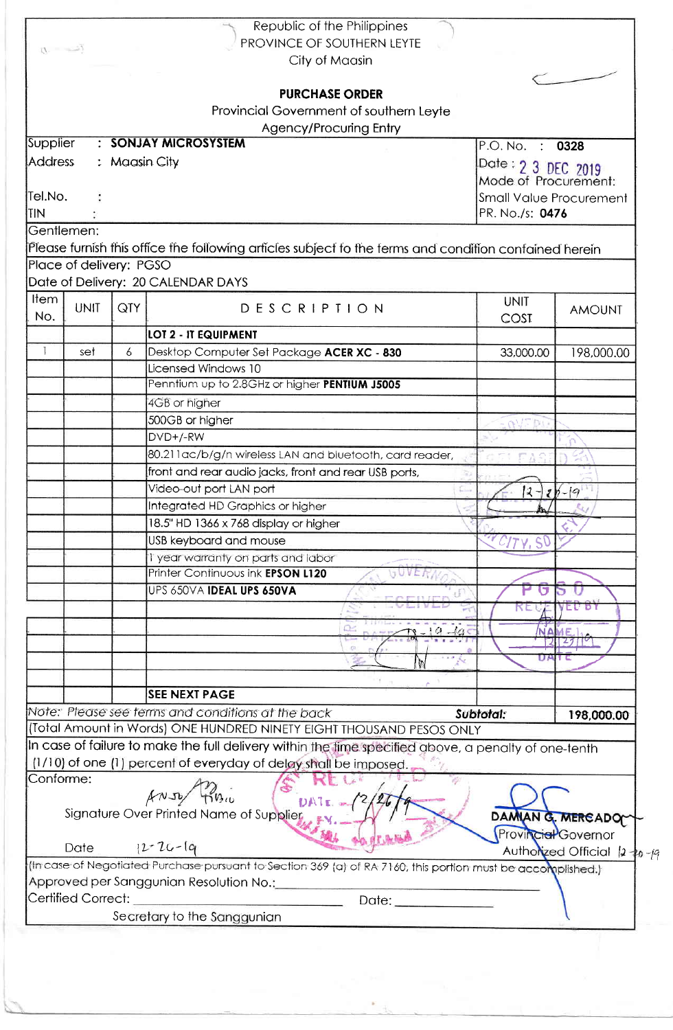| $D = -5$                |               | Republic of the Philippines<br>PROVINCE OF SOUTHERN LEYTE<br>City of Maasin<br><b>PURCHASE ORDER</b><br>Provincial Government of southern Leyte |                                |                               |
|-------------------------|---------------|-------------------------------------------------------------------------------------------------------------------------------------------------|--------------------------------|-------------------------------|
|                         |               | Agency/Procuring Entry                                                                                                                          |                                |                               |
| Supplier                |               | : SONJAY MICROSYSTEM                                                                                                                            | P.O. No. : 0328                |                               |
| <b>Address</b>          | : Maasin City |                                                                                                                                                 | Date: 2 3 DEC 2019             |                               |
|                         |               |                                                                                                                                                 | Mode of Procurement:           |                               |
| Tel.No.                 |               |                                                                                                                                                 | <b>Small Value Procurement</b> |                               |
| <b>TIN</b>              |               |                                                                                                                                                 | PR. No./s: 0476                |                               |
| Gentlemen:              |               |                                                                                                                                                 |                                |                               |
|                         |               | Please furnish this office the following articles subject to the terms and condition confained herein                                           |                                |                               |
| Place of delivery: PGSO |               |                                                                                                                                                 |                                |                               |
|                         |               | Date of Delivery: 20 CALENDAR DAYS                                                                                                              |                                |                               |
| Item                    |               |                                                                                                                                                 | <b>UNIT</b>                    |                               |
| <b>UNIT</b><br>No.      | QTY           | DESCRIPTION                                                                                                                                     | COST                           | <b>AMOUNT</b>                 |
|                         |               | LOT 2 - IT EQUIPMENT                                                                                                                            |                                |                               |
| set                     | 6             | Desktop Computer Set Package ACER XC - 830                                                                                                      | 33,000.00                      | 198,000.00                    |
|                         |               | Licensed Windows 10                                                                                                                             |                                |                               |
|                         |               | Penntium up to 2.8GHz or higher PENTIUM J5005                                                                                                   |                                |                               |
|                         |               |                                                                                                                                                 |                                |                               |
|                         |               | 4GB or higher                                                                                                                                   |                                |                               |
|                         |               | 500GB or higher                                                                                                                                 | <b>GNE DI</b>                  |                               |
|                         |               | DVD+/-RW                                                                                                                                        |                                |                               |
|                         |               | 80.211 ac/b/g/n wireless LAN and bluetooth, card reader,                                                                                        |                                |                               |
|                         |               | front and rear audio jacks, front and rear USB ports,                                                                                           |                                |                               |
|                         |               | Video-out port LAN port                                                                                                                         | $ 2-$                          | $2b - 19$                     |
|                         |               | Integrated HD Graphics or higher                                                                                                                | $\mathbb{M}$                   |                               |
|                         |               | 18.5" HD 1366 x 768 display or higher                                                                                                           |                                |                               |
|                         |               | USB keyboard and mouse                                                                                                                          |                                |                               |
|                         |               | I year warranty on parts and labor                                                                                                              |                                |                               |
|                         |               | Printer Continuous ink EPSON L120                                                                                                               |                                |                               |
|                         |               | UPS 650VA IDEAL UPS 650VA                                                                                                                       |                                |                               |
|                         |               |                                                                                                                                                 |                                | E D'ON                        |
|                         |               |                                                                                                                                                 |                                |                               |
|                         |               |                                                                                                                                                 |                                |                               |
|                         |               |                                                                                                                                                 |                                |                               |
|                         |               |                                                                                                                                                 |                                |                               |
|                         |               | <b>SEE NEXT PAGE</b>                                                                                                                            |                                |                               |
|                         |               | Note: Please see terms and conditions at the back                                                                                               | Subtotal:                      |                               |
|                         |               | (Total Amount in Words) ONE HUNDRED NINETY EIGHT THOUSAND PESOS ONLY                                                                            |                                | 198,000.00                    |
|                         |               | In case of failure to make the full delivery within the time specified above, a penalty of one-tenth                                            |                                |                               |
|                         |               | (1/10) of one (1) percent of everyday of delay shall be imposed.                                                                                |                                |                               |
| Conforme:               |               |                                                                                                                                                 |                                |                               |
|                         |               | ANJO TIBIL                                                                                                                                      |                                |                               |
|                         |               | DATE =<br>Signature Over Printed Name of Supplier                                                                                               |                                |                               |
|                         |               |                                                                                                                                                 |                                | DAMIAN G. MERCADO             |
| <b>Date</b>             |               | $12 - 26 - 19$                                                                                                                                  | Provincial Governor            |                               |
|                         |               |                                                                                                                                                 |                                | Autholized Official 12 to -19 |
|                         |               | (In case of Negotiated Purchase pursuant to Section 369 (a) of RA 7160, this portion must be accomplished.)                                     |                                |                               |
| Certified Correct:      |               | Approved per Sanggunian Resolution No.: __________                                                                                              |                                |                               |
|                         |               | Date: <b>Date:</b>                                                                                                                              |                                |                               |
|                         |               | Secretary to the Sanggunian                                                                                                                     |                                |                               |